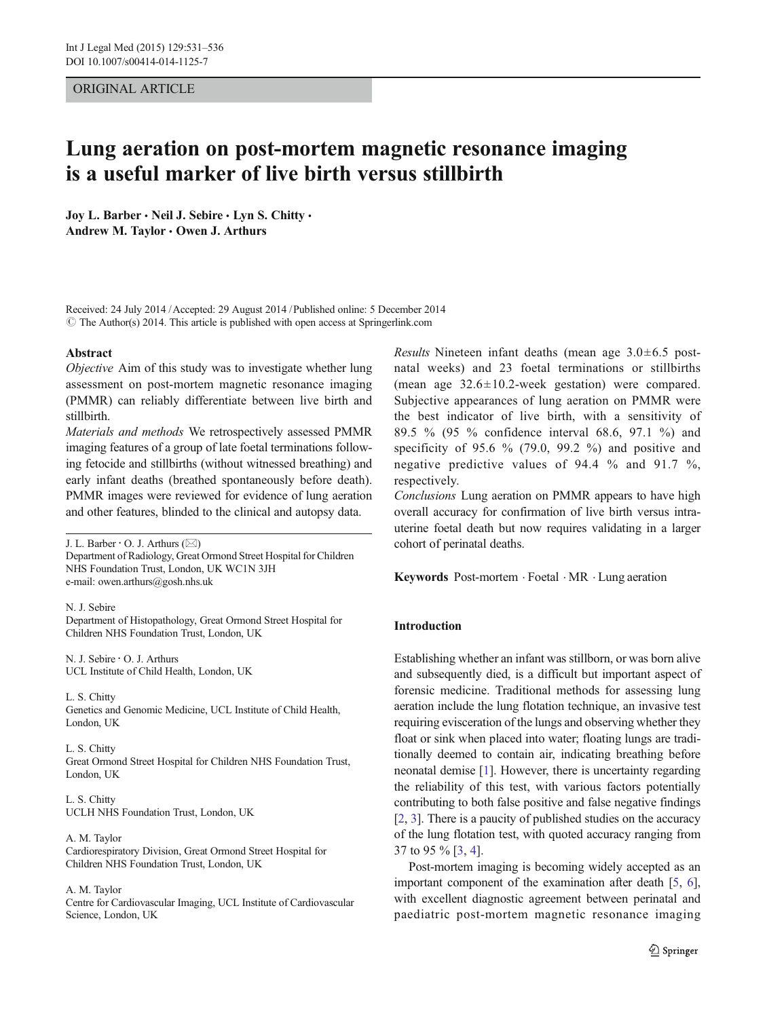# ORIGINAL ARTICLE

# Lung aeration on post-mortem magnetic resonance imaging is a useful marker of live birth versus stillbirth

Joy L. Barber · Neil J. Sebire · Lyn S. Chitty · Andrew M. Taylor . Owen J. Arthurs

Received: 24 July 2014 /Accepted: 29 August 2014 /Published online: 5 December 2014  $\circ$  The Author(s) 2014. This article is published with open access at Springerlink.com

#### Abstract

Objective Aim of this study was to investigate whether lung assessment on post-mortem magnetic resonance imaging (PMMR) can reliably differentiate between live birth and stillbirth.

Materials and methods We retrospectively assessed PMMR imaging features of a group of late foetal terminations following fetocide and stillbirths (without witnessed breathing) and early infant deaths (breathed spontaneously before death). PMMR images were reviewed for evidence of lung aeration and other features, blinded to the clinical and autopsy data.

J. L. Barber  $\cdot$  O. J. Arthurs ( $\boxtimes$ ) Department of Radiology, Great Ormond Street Hospital for Children NHS Foundation Trust, London, UK WC1N 3JH e-mail: owen.arthurs@gosh.nhs.uk

N. J. Sebire

Department of Histopathology, Great Ormond Street Hospital for Children NHS Foundation Trust, London, UK

N. J. Sebire : O. J. Arthurs UCL Institute of Child Health, London, UK

L. S. Chitty Genetics and Genomic Medicine, UCL Institute of Child Health, London, UK

L. S. Chitty Great Ormond Street Hospital for Children NHS Foundation Trust, London, UK

L. S. Chitty UCLH NHS Foundation Trust, London, UK

A. M. Taylor Cardiorespiratory Division, Great Ormond Street Hospital for Children NHS Foundation Trust, London, UK

A. M. Taylor

Centre for Cardiovascular Imaging, UCL Institute of Cardiovascular Science, London, UK

*Results* Nineteen infant deaths (mean age  $3.0\pm6.5$  postnatal weeks) and 23 foetal terminations or stillbirths (mean age 32.6±10.2-week gestation) were compared. Subjective appearances of lung aeration on PMMR were the best indicator of live birth, with a sensitivity of 89.5 % (95 % confidence interval 68.6, 97.1 %) and specificity of 95.6 % (79.0, 99.2 %) and positive and negative predictive values of 94.4 % and 91.7 %, respectively.

Conclusions Lung aeration on PMMR appears to have high overall accuracy for confirmation of live birth versus intrauterine foetal death but now requires validating in a larger cohort of perinatal deaths.

Keywords Post-mortem . Foetal . MR . Lung aeration

# Introduction

Establishing whether an infant was stillborn, or was born alive and subsequently died, is a difficult but important aspect of forensic medicine. Traditional methods for assessing lung aeration include the lung flotation technique, an invasive test requiring evisceration of the lungs and observing whether they float or sink when placed into water; floating lungs are traditionally deemed to contain air, indicating breathing before neonatal demise [\[1](#page-5-0)]. However, there is uncertainty regarding the reliability of this test, with various factors potentially contributing to both false positive and false negative findings [\[2](#page-5-0), [3\]](#page-5-0). There is a paucity of published studies on the accuracy of the lung flotation test, with quoted accuracy ranging from 37 to 95 % [\[3](#page-5-0), [4](#page-5-0)].

Post-mortem imaging is becoming widely accepted as an important component of the examination after death [[5,](#page-5-0) [6\]](#page-5-0), with excellent diagnostic agreement between perinatal and paediatric post-mortem magnetic resonance imaging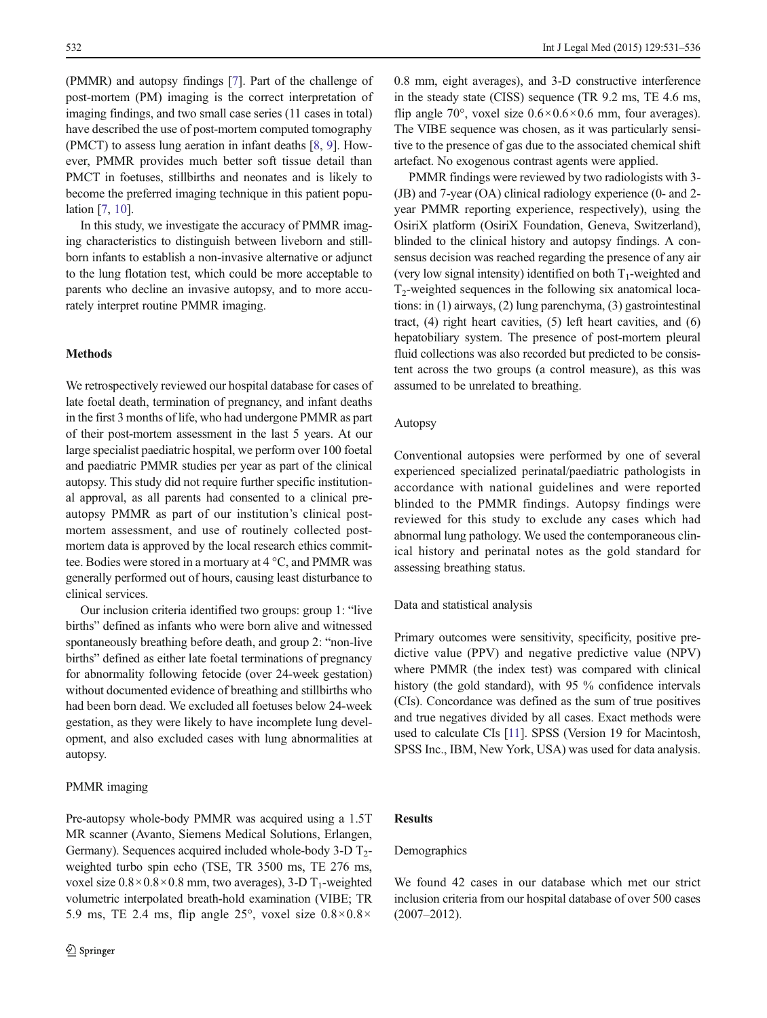(PMMR) and autopsy findings [\[7](#page-5-0)]. Part of the challenge of post-mortem (PM) imaging is the correct interpretation of imaging findings, and two small case series (11 cases in total) have described the use of post-mortem computed tomography (PMCT) to assess lung aeration in infant deaths [\[8](#page-5-0), [9\]](#page-5-0). However, PMMR provides much better soft tissue detail than PMCT in foetuses, stillbirths and neonates and is likely to become the preferred imaging technique in this patient population [[7,](#page-5-0) [10](#page-5-0)].

In this study, we investigate the accuracy of PMMR imaging characteristics to distinguish between liveborn and stillborn infants to establish a non-invasive alternative or adjunct to the lung flotation test, which could be more acceptable to parents who decline an invasive autopsy, and to more accurately interpret routine PMMR imaging.

## Methods

We retrospectively reviewed our hospital database for cases of late foetal death, termination of pregnancy, and infant deaths in the first 3 months of life, who had undergone PMMR as part of their post-mortem assessment in the last 5 years. At our large specialist paediatric hospital, we perform over 100 foetal and paediatric PMMR studies per year as part of the clinical autopsy. This study did not require further specific institutional approval, as all parents had consented to a clinical preautopsy PMMR as part of our institution's clinical postmortem assessment, and use of routinely collected postmortem data is approved by the local research ethics committee. Bodies were stored in a mortuary at 4 °C, and PMMR was generally performed out of hours, causing least disturbance to clinical services.

Our inclusion criteria identified two groups: group 1: "live births" defined as infants who were born alive and witnessed spontaneously breathing before death, and group 2: "non-live births" defined as either late foetal terminations of pregnancy for abnormality following fetocide (over 24-week gestation) without documented evidence of breathing and stillbirths who had been born dead. We excluded all foetuses below 24-week gestation, as they were likely to have incomplete lung development, and also excluded cases with lung abnormalities at autopsy.

#### PMMR imaging

Pre-autopsy whole-body PMMR was acquired using a 1.5T MR scanner (Avanto, Siemens Medical Solutions, Erlangen, Germany). Sequences acquired included whole-body  $3-D$  T<sub>2</sub>weighted turbo spin echo (TSE, TR 3500 ms, TE 276 ms, voxel size  $0.8 \times 0.8 \times 0.8$  mm, two averages), 3-D T<sub>1</sub>-weighted volumetric interpolated breath-hold examination (VIBE; TR 5.9 ms, TE 2.4 ms, flip angle 25°, voxel size  $0.8 \times 0.8 \times$ 

0.8 mm, eight averages), and 3-D constructive interference in the steady state (CISS) sequence (TR 9.2 ms, TE 4.6 ms, flip angle 70°, voxel size  $0.6 \times 0.6 \times 0.6$  mm, four averages). The VIBE sequence was chosen, as it was particularly sensitive to the presence of gas due to the associated chemical shift artefact. No exogenous contrast agents were applied.

PMMR findings were reviewed by two radiologists with 3- (JB) and 7-year (OA) clinical radiology experience (0- and 2 year PMMR reporting experience, respectively), using the OsiriX platform (OsiriX Foundation, Geneva, Switzerland), blinded to the clinical history and autopsy findings. A consensus decision was reached regarding the presence of any air (very low signal intensity) identified on both  $T_1$ -weighted and  $T<sub>2</sub>$ -weighted sequences in the following six anatomical locations: in (1) airways, (2) lung parenchyma, (3) gastrointestinal tract, (4) right heart cavities, (5) left heart cavities, and (6) hepatobiliary system. The presence of post-mortem pleural fluid collections was also recorded but predicted to be consistent across the two groups (a control measure), as this was assumed to be unrelated to breathing.

## Autopsy

Conventional autopsies were performed by one of several experienced specialized perinatal/paediatric pathologists in accordance with national guidelines and were reported blinded to the PMMR findings. Autopsy findings were reviewed for this study to exclude any cases which had abnormal lung pathology. We used the contemporaneous clinical history and perinatal notes as the gold standard for assessing breathing status.

#### Data and statistical analysis

Primary outcomes were sensitivity, specificity, positive predictive value (PPV) and negative predictive value (NPV) where PMMR (the index test) was compared with clinical history (the gold standard), with 95 % confidence intervals (CIs). Concordance was defined as the sum of true positives and true negatives divided by all cases. Exact methods were used to calculate CIs [[11](#page-5-0)]. SPSS (Version 19 for Macintosh, SPSS Inc., IBM, New York, USA) was used for data analysis.

#### Results

#### Demographics

We found 42 cases in our database which met our strict inclusion criteria from our hospital database of over 500 cases (2007–2012).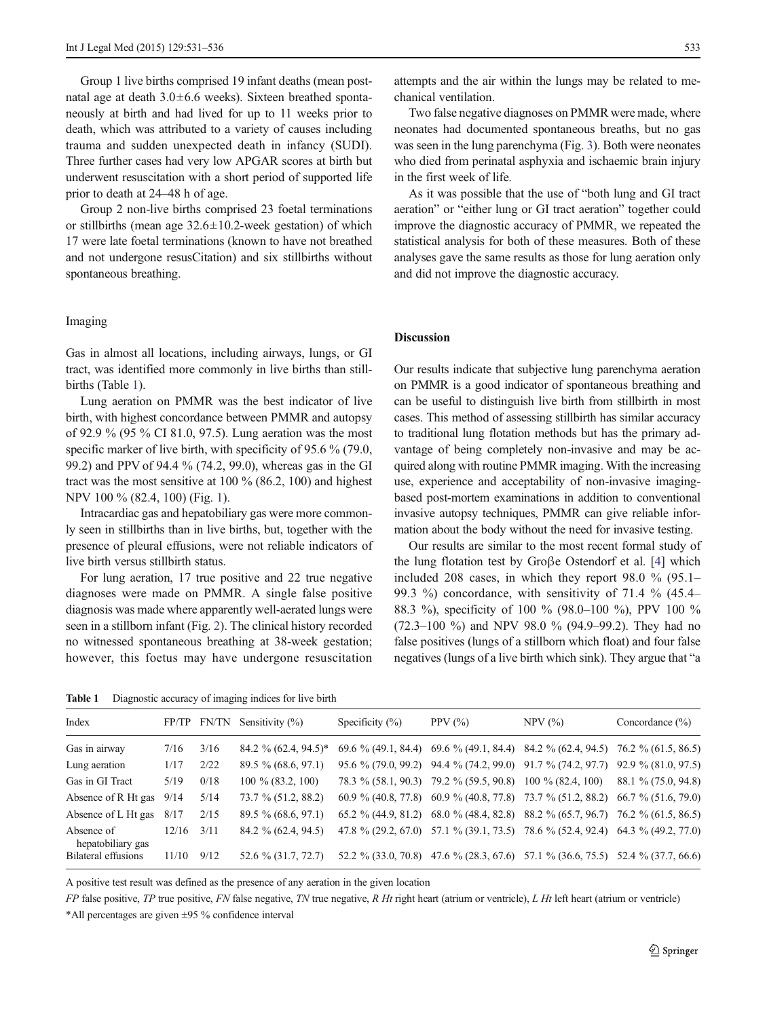Group 1 live births comprised 19 infant deaths (mean postnatal age at death 3.0±6.6 weeks). Sixteen breathed spontaneously at birth and had lived for up to 11 weeks prior to death, which was attributed to a variety of causes including trauma and sudden unexpected death in infancy (SUDI). Three further cases had very low APGAR scores at birth but underwent resuscitation with a short period of supported life prior to death at 24–48 h of age.

Group 2 non-live births comprised 23 foetal terminations or stillbirths (mean age  $32.6 \pm 10.2$ -week gestation) of which 17 were late foetal terminations (known to have not breathed and not undergone resusCitation) and six stillbirths without spontaneous breathing.

## Imaging

Gas in almost all locations, including airways, lungs, or GI tract, was identified more commonly in live births than stillbirths (Table 1).

Lung aeration on PMMR was the best indicator of live birth, with highest concordance between PMMR and autopsy of 92.9 % (95 % CI 81.0, 97.5). Lung aeration was the most specific marker of live birth, with specificity of 95.6 % (79.0, 99.2) and PPV of 94.4 % (74.2, 99.0), whereas gas in the GI tract was the most sensitive at 100 % (86.2, 100) and highest NPV 100 % (82.4, 100) (Fig. [1](#page-3-0)).

Intracardiac gas and hepatobiliary gas were more commonly seen in stillbirths than in live births, but, together with the presence of pleural effusions, were not reliable indicators of live birth versus stillbirth status.

For lung aeration, 17 true positive and 22 true negative diagnoses were made on PMMR. A single false positive diagnosis was made where apparently well-aerated lungs were seen in a stillborn infant (Fig. [2\)](#page-3-0). The clinical history recorded no witnessed spontaneous breathing at 38-week gestation; however, this foetus may have undergone resuscitation

Table 1 Diagnostic accuracy of imaging indices for live birth

attempts and the air within the lungs may be related to mechanical ventilation.

Two false negative diagnoses on PMMR were made, where neonates had documented spontaneous breaths, but no gas was seen in the lung parenchyma (Fig. [3\)](#page-4-0). Both were neonates who died from perinatal asphyxia and ischaemic brain injury in the first week of life.

As it was possible that the use of "both lung and GI tract aeration" or "either lung or GI tract aeration" together could improve the diagnostic accuracy of PMMR, we repeated the statistical analysis for both of these measures. Both of these analyses gave the same results as those for lung aeration only and did not improve the diagnostic accuracy.

# Discussion

Our results indicate that subjective lung parenchyma aeration on PMMR is a good indicator of spontaneous breathing and can be useful to distinguish live birth from stillbirth in most cases. This method of assessing stillbirth has similar accuracy to traditional lung flotation methods but has the primary advantage of being completely non-invasive and may be acquired along with routine PMMR imaging. With the increasing use, experience and acceptability of non-invasive imagingbased post-mortem examinations in addition to conventional invasive autopsy techniques, PMMR can give reliable information about the body without the need for invasive testing.

Our results are similar to the most recent formal study of the lung flotation test by Groβe Ostendorf et al. [[4](#page-5-0)] which included 208 cases, in which they report 98.0 % (95.1– 99.3 %) concordance, with sensitivity of 71.4 % (45.4– 88.3 %), specificity of 100 % (98.0–100 %), PPV 100 % (72.3–100 %) and NPV 98.0 % (94.9–99.2). They had no false positives (lungs of a stillborn which float) and four false negatives (lungs of a live birth which sink). They argue that "a

| Index                           |       | FP/TP FN/TN | Sensitivity $(\%)$       | Specificity $(\% )$   | PPV $(\%)$                            | $NPV$ $(\% )$                                                                           | Concordance $(\% )$ |
|---------------------------------|-------|-------------|--------------------------|-----------------------|---------------------------------------|-----------------------------------------------------------------------------------------|---------------------|
| Gas in airway                   | 7/16  | 3/16        | $84.2 \% (62.4, 94.5)^*$ |                       |                                       | $69.6\%$ (49.1, 84.4) $69.6\%$ (49.1, 84.4) 84.2 % (62.4, 94.5) 76.2 % (61.5, 86.5)     |                     |
| Lung aeration                   | 1/17  | 2/22        | 89.5 % (68.6, 97.1)      |                       |                                       | 95.6 % (79.0, 99.2) 94.4 % (74.2, 99.0) 91.7 % (74.2, 97.7) 92.9 % (81.0, 97.5)         |                     |
| Gas in GI Tract                 | 5/19  | 0/18        | $100\%$ (83.2, 100)      | $78.3\%$ (58.1, 90.3) | 79.2 % (59.5, 90.8) 100 % (82.4, 100) |                                                                                         | 88.1 % (75.0, 94.8) |
| Absence of R Ht gas             | 9/14  | 5/14        | 73.7 % (51.2, 88.2)      |                       |                                       | 60.9 % (40.8, 77.8) 60.9 % (40.8, 77.8) 73.7 % (51.2, 88.2) 66.7 % (51.6, 79.0)         |                     |
| Absence of L Ht gas             | 8/17  | 2/15        | $89.5\%$ (68.6, 97.1)    |                       |                                       | 65.2 % (44.9, 81.2) 68.0 % (48.4, 82.8) 88.2 % (65.7, 96.7) 76.2 % (61.5, 86.5)         |                     |
| Absence of<br>hepatobiliary gas | 12/16 | 3/11        | 84.2 % (62.4, 94.5)      |                       |                                       | 47.8 % (29.2, 67.0) 57.1 % (39.1, 73.5) 78.6 % (52.4, 92.4) 64.3 % (49.2, 77.0)         |                     |
| Bilateral effusions             | 11/10 | 9/12        | 52.6 % (31.7, 72.7)      |                       |                                       | $52.2\%$ (33.0, 70.8) $47.6\%$ (28.3, 67.6) $57.1\%$ (36.6, 75.5) $52.4\%$ (37.7, 66.6) |                     |

A positive test result was defined as the presence of any aeration in the given location

 $FP$  false positive,  $TP$  true positive,  $FN$  false negative,  $TN$  true negative,  $R Ht$  right heart (atrium or ventricle),  $L Ht$  left heart (atrium or ventricle)

\*All percentages are given ±95 % confidence interval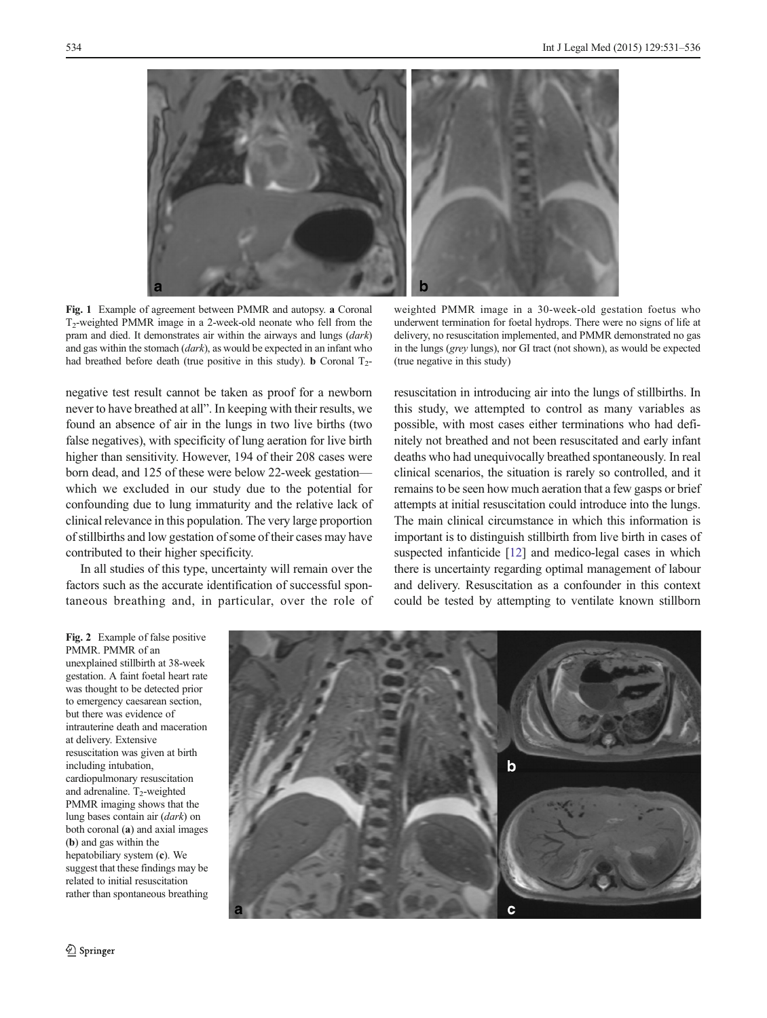<span id="page-3-0"></span>

Fig. 1 Example of agreement between PMMR and autopsy. a Coronal T2-weighted PMMR image in a 2-week-old neonate who fell from the pram and died. It demonstrates air within the airways and lungs (dark) and gas within the stomach (dark), as would be expected in an infant who had breathed before death (true positive in this study). **b** Coronal  $T_2$ -

negative test result cannot be taken as proof for a newborn never to have breathed at all". In keeping with their results, we found an absence of air in the lungs in two live births (two false negatives), with specificity of lung aeration for live birth higher than sensitivity. However, 194 of their 208 cases were born dead, and 125 of these were below 22-week gestation which we excluded in our study due to the potential for confounding due to lung immaturity and the relative lack of clinical relevance in this population. The very large proportion of stillbirths and low gestation of some of their cases may have contributed to their higher specificity.

In all studies of this type, uncertainty will remain over the factors such as the accurate identification of successful spontaneous breathing and, in particular, over the role of

weighted PMMR image in a 30-week-old gestation foetus who underwent termination for foetal hydrops. There were no signs of life at delivery, no resuscitation implemented, and PMMR demonstrated no gas in the lungs (grey lungs), nor GI tract (not shown), as would be expected (true negative in this study)

resuscitation in introducing air into the lungs of stillbirths. In this study, we attempted to control as many variables as possible, with most cases either terminations who had definitely not breathed and not been resuscitated and early infant deaths who had unequivocally breathed spontaneously. In real clinical scenarios, the situation is rarely so controlled, and it remains to be seen how much aeration that a few gasps or brief attempts at initial resuscitation could introduce into the lungs. The main clinical circumstance in which this information is important is to distinguish stillbirth from live birth in cases of suspected infanticide [[12\]](#page-5-0) and medico-legal cases in which there is uncertainty regarding optimal management of labour and delivery. Resuscitation as a confounder in this context could be tested by attempting to ventilate known stillborn

Fig. 2 Example of false positive PMMR. PMMR of an unexplained stillbirth at 38-week gestation. A faint foetal heart rate was thought to be detected prior to emergency caesarean section, but there was evidence of intrauterine death and maceration at delivery. Extensive resuscitation was given at birth including intubation, cardiopulmonary resuscitation and adrenaline.  $T_2$ -weighted PMMR imaging shows that the lung bases contain air (dark) on both coronal (a) and axial images (b) and gas within the hepatobiliary system (c). We suggest that these findings may be related to initial resuscitation rather than spontaneous breathing

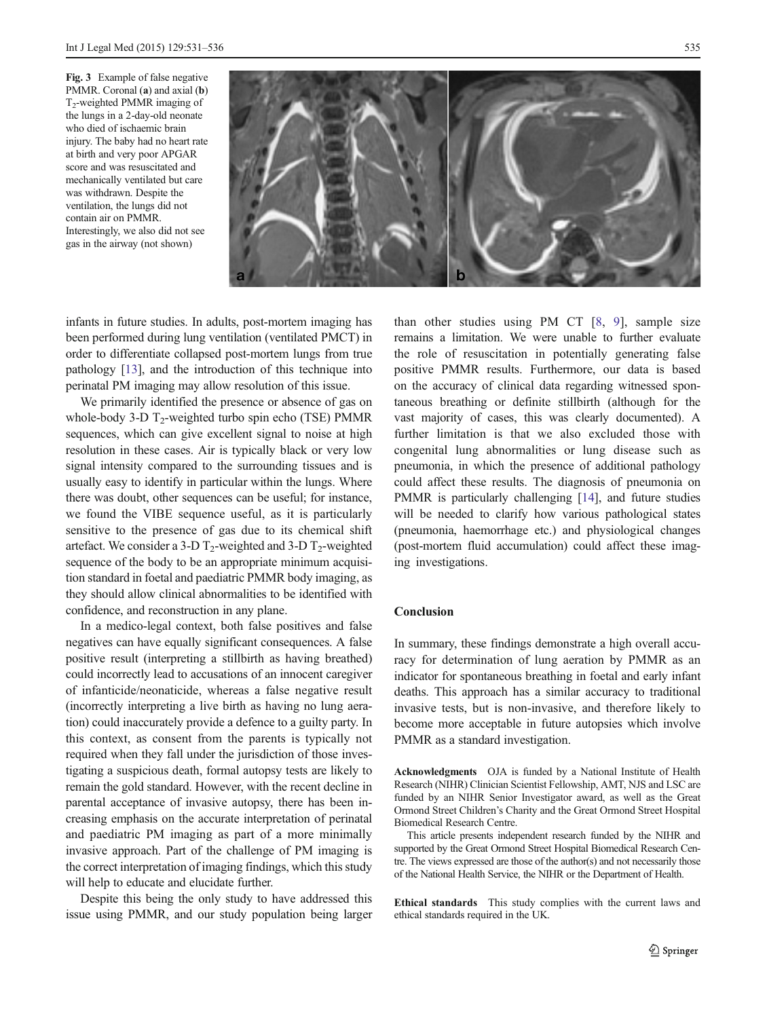<span id="page-4-0"></span>Fig. 3 Example of false negative PMMR. Coronal (a) and axial (b)  $T<sub>2</sub>$ -weighted PMMR imaging of the lungs in a 2-day-old neonate who died of ischaemic brain injury. The baby had no heart rate at birth and very poor APGAR score and was resuscitated and mechanically ventilated but care was withdrawn. Despite the ventilation, the lungs did not contain air on PMMR. Interestingly, we also did not see gas in the airway (not shown)



infants in future studies. In adults, post-mortem imaging has been performed during lung ventilation (ventilated PMCT) in order to differentiate collapsed post-mortem lungs from true pathology [\[13\]](#page-5-0), and the introduction of this technique into perinatal PM imaging may allow resolution of this issue.

We primarily identified the presence or absence of gas on whole-body 3-D  $T_2$ -weighted turbo spin echo (TSE) PMMR sequences, which can give excellent signal to noise at high resolution in these cases. Air is typically black or very low signal intensity compared to the surrounding tissues and is usually easy to identify in particular within the lungs. Where there was doubt, other sequences can be useful; for instance, we found the VIBE sequence useful, as it is particularly sensitive to the presence of gas due to its chemical shift artefact. We consider a 3-D  $T_2$ -weighted and 3-D  $T_2$ -weighted sequence of the body to be an appropriate minimum acquisition standard in foetal and paediatric PMMR body imaging, as they should allow clinical abnormalities to be identified with confidence, and reconstruction in any plane.

In a medico-legal context, both false positives and false negatives can have equally significant consequences. A false positive result (interpreting a stillbirth as having breathed) could incorrectly lead to accusations of an innocent caregiver of infanticide/neonaticide, whereas a false negative result (incorrectly interpreting a live birth as having no lung aeration) could inaccurately provide a defence to a guilty party. In this context, as consent from the parents is typically not required when they fall under the jurisdiction of those investigating a suspicious death, formal autopsy tests are likely to remain the gold standard. However, with the recent decline in parental acceptance of invasive autopsy, there has been increasing emphasis on the accurate interpretation of perinatal and paediatric PM imaging as part of a more minimally invasive approach. Part of the challenge of PM imaging is the correct interpretation of imaging findings, which this study will help to educate and elucidate further.

Despite this being the only study to have addressed this issue using PMMR, and our study population being larger than other studies using PM CT [[8,](#page-5-0) [9\]](#page-5-0), sample size remains a limitation. We were unable to further evaluate the role of resuscitation in potentially generating false positive PMMR results. Furthermore, our data is based on the accuracy of clinical data regarding witnessed spontaneous breathing or definite stillbirth (although for the vast majority of cases, this was clearly documented). A further limitation is that we also excluded those with congenital lung abnormalities or lung disease such as pneumonia, in which the presence of additional pathology could affect these results. The diagnosis of pneumonia on PMMR is particularly challenging [[14\]](#page-5-0), and future studies will be needed to clarify how various pathological states (pneumonia, haemorrhage etc.) and physiological changes (post-mortem fluid accumulation) could affect these imaging investigations.

# Conclusion

In summary, these findings demonstrate a high overall accuracy for determination of lung aeration by PMMR as an indicator for spontaneous breathing in foetal and early infant deaths. This approach has a similar accuracy to traditional invasive tests, but is non-invasive, and therefore likely to become more acceptable in future autopsies which involve PMMR as a standard investigation.

Acknowledgments OJA is funded by a National Institute of Health Research (NIHR) Clinician Scientist Fellowship, AMT, NJS and LSC are funded by an NIHR Senior Investigator award, as well as the Great Ormond Street Children's Charity and the Great Ormond Street Hospital Biomedical Research Centre.

This article presents independent research funded by the NIHR and supported by the Great Ormond Street Hospital Biomedical Research Centre. The views expressed are those of the author(s) and not necessarily those of the National Health Service, the NIHR or the Department of Health.

Ethical standards This study complies with the current laws and ethical standards required in the UK.